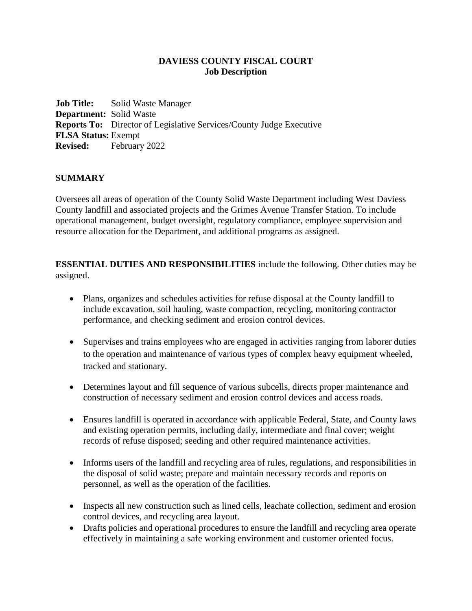#### **DAVIESS COUNTY FISCAL COURT Job Description**

**Job Title:** Solid Waste Manager **Department:** Solid Waste **Reports To:** Director of Legislative Services/County Judge Executive **FLSA Status:** Exempt **Revised:** February 2022

#### **SUMMARY**

Oversees all areas of operation of the County Solid Waste Department including West Daviess County landfill and associated projects and the Grimes Avenue Transfer Station. To include operational management, budget oversight, regulatory compliance, employee supervision and resource allocation for the Department, and additional programs as assigned.

**ESSENTIAL DUTIES AND RESPONSIBILITIES** include the following. Other duties may be assigned.

- Plans, organizes and schedules activities for refuse disposal at the County landfill to include excavation, soil hauling, waste compaction, recycling, monitoring contractor performance, and checking sediment and erosion control devices.
- Supervises and trains employees who are engaged in activities ranging from laborer duties to the operation and maintenance of various types of complex heavy equipment wheeled, tracked and stationary.
- Determines layout and fill sequence of various subcells, directs proper maintenance and construction of necessary sediment and erosion control devices and access roads.
- Ensures landfill is operated in accordance with applicable Federal, State, and County laws and existing operation permits, including daily, intermediate and final cover; weight records of refuse disposed; seeding and other required maintenance activities.
- Informs users of the landfill and recycling area of rules, regulations, and responsibilities in the disposal of solid waste; prepare and maintain necessary records and reports on personnel, as well as the operation of the facilities.
- Inspects all new construction such as lined cells, leachate collection, sediment and erosion control devices, and recycling area layout.
- Drafts policies and operational procedures to ensure the landfill and recycling area operate effectively in maintaining a safe working environment and customer oriented focus.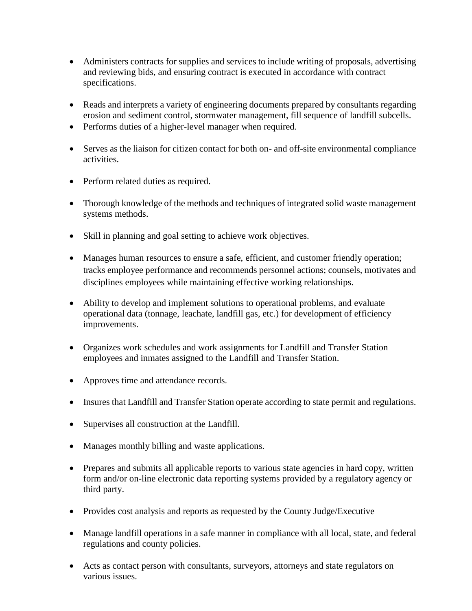- Administers contracts for supplies and services to include writing of proposals, advertising and reviewing bids, and ensuring contract is executed in accordance with contract specifications.
- Reads and interprets a variety of engineering documents prepared by consultants regarding erosion and sediment control, stormwater management, fill sequence of landfill subcells.
- Performs duties of a higher-level manager when required.
- Serves as the liaison for citizen contact for both on- and off-site environmental compliance activities.
- Perform related duties as required.
- Thorough knowledge of the methods and techniques of integrated solid waste management systems methods.
- Skill in planning and goal setting to achieve work objectives.
- Manages human resources to ensure a safe, efficient, and customer friendly operation; tracks employee performance and recommends personnel actions; counsels, motivates and disciplines employees while maintaining effective working relationships.
- Ability to develop and implement solutions to operational problems, and evaluate operational data (tonnage, leachate, landfill gas, etc.) for development of efficiency improvements.
- Organizes work schedules and work assignments for Landfill and Transfer Station employees and inmates assigned to the Landfill and Transfer Station.
- Approves time and attendance records.
- Insures that Landfill and Transfer Station operate according to state permit and regulations.
- Supervises all construction at the Landfill.
- Manages monthly billing and waste applications.
- Prepares and submits all applicable reports to various state agencies in hard copy, written form and/or on-line electronic data reporting systems provided by a regulatory agency or third party.
- Provides cost analysis and reports as requested by the County Judge/Executive
- Manage landfill operations in a safe manner in compliance with all local, state, and federal regulations and county policies.
- Acts as contact person with consultants, surveyors, attorneys and state regulators on various issues.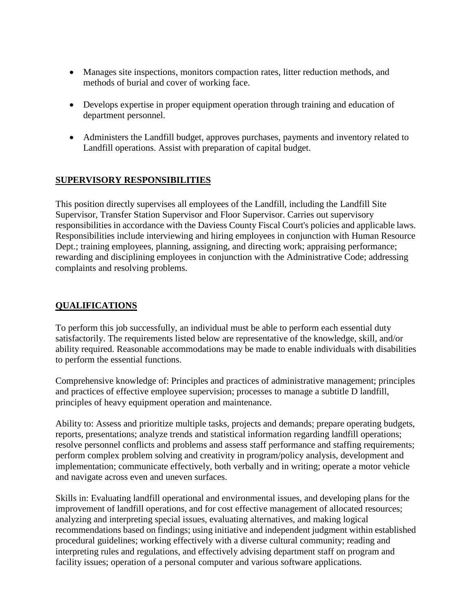- Manages site inspections, monitors compaction rates, litter reduction methods, and methods of burial and cover of working face.
- Develops expertise in proper equipment operation through training and education of department personnel.
- Administers the Landfill budget, approves purchases, payments and inventory related to Landfill operations. Assist with preparation of capital budget.

### **SUPERVISORY RESPONSIBILITIES**

This position directly supervises all employees of the Landfill, including the Landfill Site Supervisor, Transfer Station Supervisor and Floor Supervisor. Carries out supervisory responsibilities in accordance with the Daviess County Fiscal Court's policies and applicable laws. Responsibilities include interviewing and hiring employees in conjunction with Human Resource Dept.; training employees, planning, assigning, and directing work; appraising performance; rewarding and disciplining employees in conjunction with the Administrative Code; addressing complaints and resolving problems.

### **QUALIFICATIONS**

To perform this job successfully, an individual must be able to perform each essential duty satisfactorily. The requirements listed below are representative of the knowledge, skill, and/or ability required. Reasonable accommodations may be made to enable individuals with disabilities to perform the essential functions.

Comprehensive knowledge of: Principles and practices of administrative management; principles and practices of effective employee supervision; processes to manage a subtitle D landfill, principles of heavy equipment operation and maintenance.

Ability to: Assess and prioritize multiple tasks, projects and demands; prepare operating budgets, reports, presentations; analyze trends and statistical information regarding landfill operations; resolve personnel conflicts and problems and assess staff performance and staffing requirements; perform complex problem solving and creativity in program/policy analysis, development and implementation; communicate effectively, both verbally and in writing; operate a motor vehicle and navigate across even and uneven surfaces.

Skills in: Evaluating landfill operational and environmental issues, and developing plans for the improvement of landfill operations, and for cost effective management of allocated resources; analyzing and interpreting special issues, evaluating alternatives, and making logical recommendations based on findings; using initiative and independent judgment within established procedural guidelines; working effectively with a diverse cultural community; reading and interpreting rules and regulations, and effectively advising department staff on program and facility issues; operation of a personal computer and various software applications.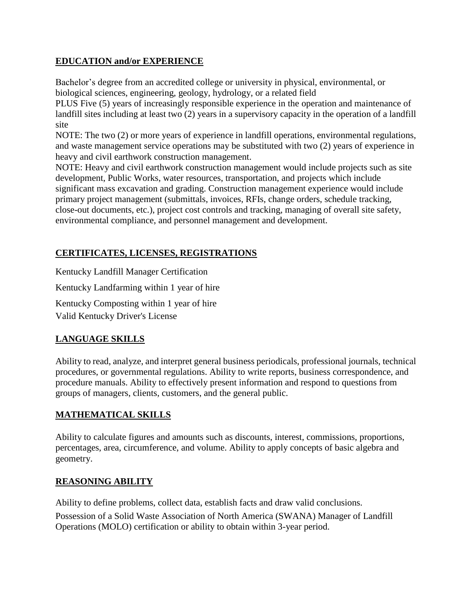## **EDUCATION and/or EXPERIENCE**

Bachelor's degree from an accredited college or university in physical, environmental, or biological sciences, engineering, geology, hydrology, or a related field

PLUS Five (5) years of increasingly responsible experience in the operation and maintenance of landfill sites including at least two (2) years in a supervisory capacity in the operation of a landfill site

NOTE: The two (2) or more years of experience in landfill operations, environmental regulations, and waste management service operations may be substituted with two (2) years of experience in heavy and civil earthwork construction management.

NOTE: Heavy and civil earthwork construction management would include projects such as site development, Public Works, water resources, transportation, and projects which include significant mass excavation and grading. Construction management experience would include primary project management (submittals, invoices, RFIs, change orders, schedule tracking, close-out documents, etc.), project cost controls and tracking, managing of overall site safety, environmental compliance, and personnel management and development.

# **CERTIFICATES, LICENSES, REGISTRATIONS**

Kentucky Landfill Manager Certification

Kentucky Landfarming within 1 year of hire

Kentucky Composting within 1 year of hire Valid Kentucky Driver's License

## **LANGUAGE SKILLS**

Ability to read, analyze, and interpret general business periodicals, professional journals, technical procedures, or governmental regulations. Ability to write reports, business correspondence, and procedure manuals. Ability to effectively present information and respond to questions from groups of managers, clients, customers, and the general public.

## **MATHEMATICAL SKILLS**

Ability to calculate figures and amounts such as discounts, interest, commissions, proportions, percentages, area, circumference, and volume. Ability to apply concepts of basic algebra and geometry.

## **REASONING ABILITY**

Ability to define problems, collect data, establish facts and draw valid conclusions.

Possession of a Solid Waste Association of North America (SWANA) Manager of Landfill Operations (MOLO) certification or ability to obtain within 3-year period.